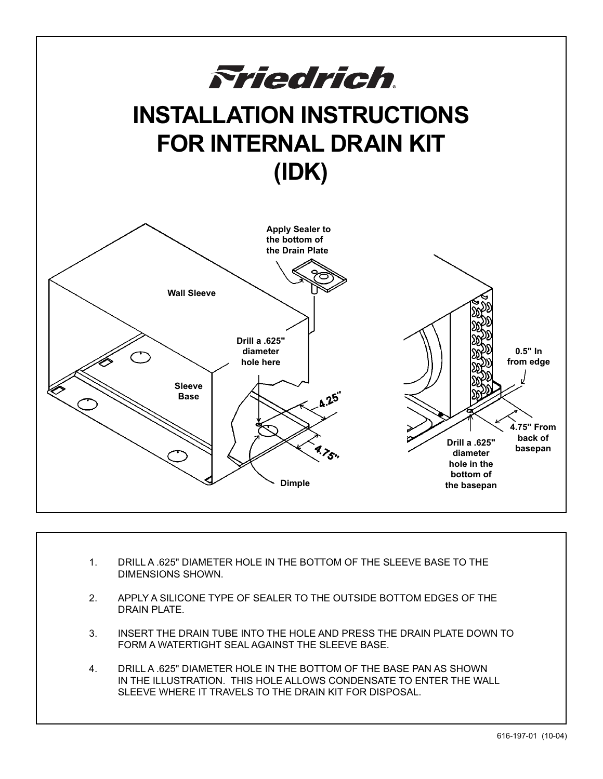

- 1. DRILL A .625" DIAMETER HOLE IN THE BOTTOM OF THE SLEEVE BASE TO THE DIMENSIONS SHOWN.
- 2. APPLY A SILICONE TYPE OF SEALER TO THE OUTSIDE BOTTOM EDGES OF THE DRAIN PLATE.
- 3. INSERT THE DRAIN TUBE INTO THE HOLE AND PRESS THE DRAIN PLATE DOWN TO FORM A WATERTIGHT SEAL AGAINST THE SLEEVE BASE.
- 4. DRILL A .625" DIAMETER HOLE IN THE BOTTOM OF THE BASE PAN AS SHOWN IN THE ILLUSTRATION. THIS HOLE ALLOWS CONDENSATE TO ENTER THE WALL SLEEVE WHERE IT TRAVELS TO THE DRAIN KIT FOR DISPOSAL.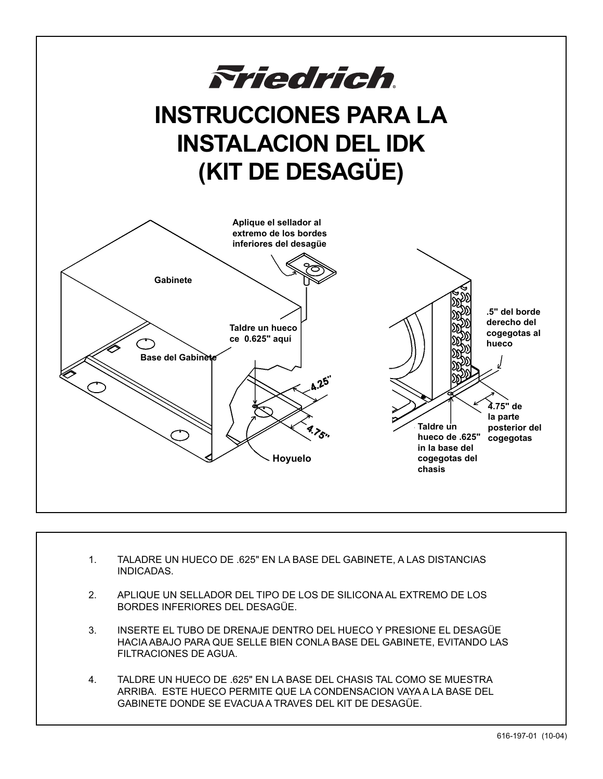

- 1. TALADRE UN HUECO DE .625" EN LA BASE DEL GABINETE, A LAS DISTANCIAS INDICADAS.
- 2. APLIQUE UN SELLADOR DEL TIPO DE LOS DE SILICONA AL EXTREMO DE LOS BORDES INFERIORES DEL DESAGÜE.
- 3. INSERTE EL TUBO DE DRENAJE DENTRO DEL HUECO Y PRESIONE EL DESAGÜE HACIA ABAJO PARA QUE SELLE BIEN CONLA BASE DEL GABINETE, EVITANDO LAS FILTRACIONES DE AGUA.
- 4. TALDRE UN HUECO DE .625" EN LA BASE DEL CHASIS TAL COMO SE MUESTRA ARRIBA. ESTE HUECO PERMITE QUE LA CONDENSACION VAYA A LA BASE DEL GABINETE DONDE SE EVACUA A TRAVES DEL KIT DE DESAGÜE.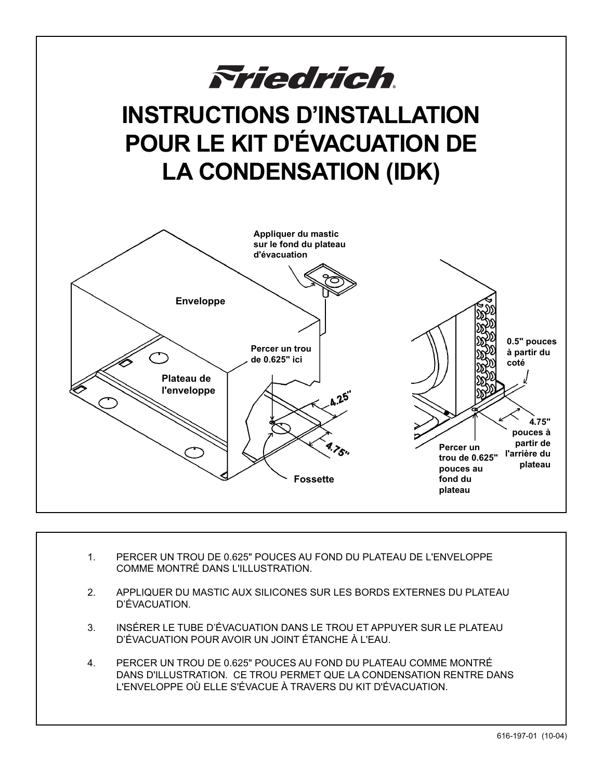

- 1. PERCER UN TROU DE 0.625" POUCES AU FOND DU PLATEAU DE L'ENVELOPPE COMME MONTRÉ DANS L'ILLUSTRATION.
- 2. APPLIQUER DU MASTIC AUX SILICONES SUR LES BORDS EXTERNES DU PLATEAU D'ÉVACUATION.
- 3. INSÉRER LE TUBE D'ÉVACUATION DANS LE TROU ET APPUYER SUR LE PLATEAU D'ÉVACUATION POUR AVOIR UN JOINT ÉTANCHE À L'EAU.
- 4. PERCER UN TROU DE 0.625" POUCES AU FOND DU PLATEAU COMME MONTRÉ DANS D'ILLUSTRATION. CE TROU PERMET QUE LA CONDENSATION RENTRE DANS L'ENVELOPPE OÙ ELLE S'ÉVACUE À TRAVERS DU KIT D'ÉVACUATION.